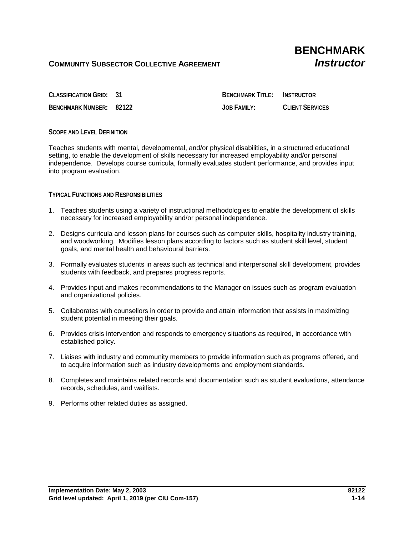**CLASSIFICATION GRID: 31 BENCHMARK TITLE: INSTRUCTOR BENCHMARK NUMBER: 82122 JOB FAMILY: CLIENT SERVICES**

**SCOPE AND LEVEL DEFINITION**

Teaches students with mental, developmental, and/or physical disabilities, in a structured educational setting, to enable the development of skills necessary for increased employability and/or personal independence. Develops course curricula, formally evaluates student performance, and provides input into program evaluation.

**TYPICAL FUNCTIONS AND RESPONSIBILITIES**

- 1. Teaches students using a variety of instructional methodologies to enable the development of skills necessary for increased employability and/or personal independence.
- 2. Designs curricula and lesson plans for courses such as computer skills, hospitality industry training, and woodworking. Modifies lesson plans according to factors such as student skill level, student goals, and mental health and behavioural barriers.
- 3. Formally evaluates students in areas such as technical and interpersonal skill development, provides students with feedback, and prepares progress reports.
- 4. Provides input and makes recommendations to the Manager on issues such as program evaluation and organizational policies.
- 5. Collaborates with counsellors in order to provide and attain information that assists in maximizing student potential in meeting their goals.
- 6. Provides crisis intervention and responds to emergency situations as required, in accordance with established policy.
- 7. Liaises with industry and community members to provide information such as programs offered, and to acquire information such as industry developments and employment standards.
- 8. Completes and maintains related records and documentation such as student evaluations, attendance records, schedules, and waitlists.
- 9. Performs other related duties as assigned.